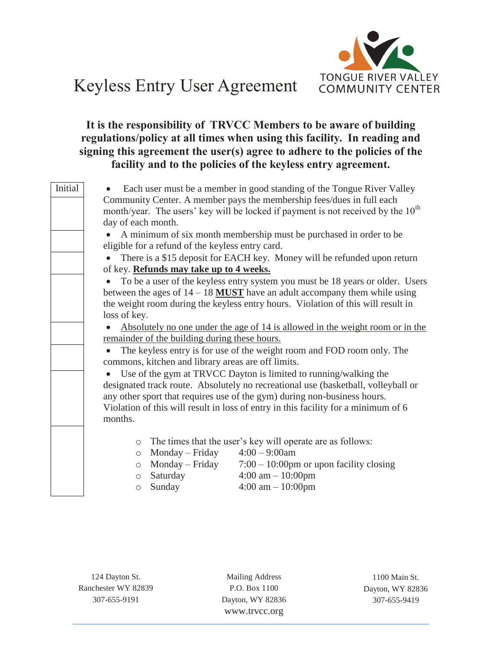

## Keyless Entry User Agreement

## **It is the responsibility of TRVCC Members to be aware of building regulations/policy at all times when using this facility. In reading and signing this agreement the user(s) agree to adhere to the policies of the facility and to the policies of the keyless entry agreement.**

| Initial | Each user must be a member in good standing of the Tongue River Valley<br>Community Center. A member pays the membership fees/dues in full each<br>month/year. The users' key will be locked if payment is not received by the $10^{th}$<br>day of each month.                                                                                                                                       |
|---------|------------------------------------------------------------------------------------------------------------------------------------------------------------------------------------------------------------------------------------------------------------------------------------------------------------------------------------------------------------------------------------------------------|
|         | A minimum of six month membership must be purchased in order to be<br>eligible for a refund of the keyless entry card.                                                                                                                                                                                                                                                                               |
|         | There is a \$15 deposit for EACH key. Money will be refunded upon return<br>$\bullet$<br>of key. Refunds may take up to 4 weeks.<br>To be a user of the keyless entry system you must be 18 years or older. Users<br>between the ages of $14 - 18$ MUST have an adult accompany them while using<br>the weight room during the keyless entry hours. Violation of this will result in<br>loss of key. |
|         | Absolutely no one under the age of 14 is allowed in the weight room or in the<br>remainder of the building during these hours.<br>The keyless entry is for use of the weight room and FOD room only. The<br>commons, kitchen and library areas are off limits.                                                                                                                                       |
|         | Use of the gym at TRVCC Dayton is limited to running/walking the<br>designated track route. Absolutely no recreational use (basketball, volleyball or<br>any other sport that requires use of the gym) during non-business hours.<br>Violation of this will result in loss of entry in this facility for a minimum of 6<br>months.                                                                   |
|         | The times that the user's key will operate are as follows:<br>$\circ$<br>Monday – Friday<br>$4:00 - 9:00$ am<br>$\circlearrowright$<br>$7:00 - 10:00$ pm or upon facility closing<br>Monday – Friday<br>$\circ$<br>$4:00 \text{ am} - 10:00 \text{pm}$<br>Saturday<br>$\circ$<br>$4:00$ am $-10:00$ pm<br>Sunday<br>$\circ$                                                                          |

124 Dayton St. Ranchester WY 82839 307-655-9191

Mailing Address P.O. Box 1100 Dayton, WY 82836 www.trvcc.org

1100 Main St. Dayton, WY 82836 307-655-9419